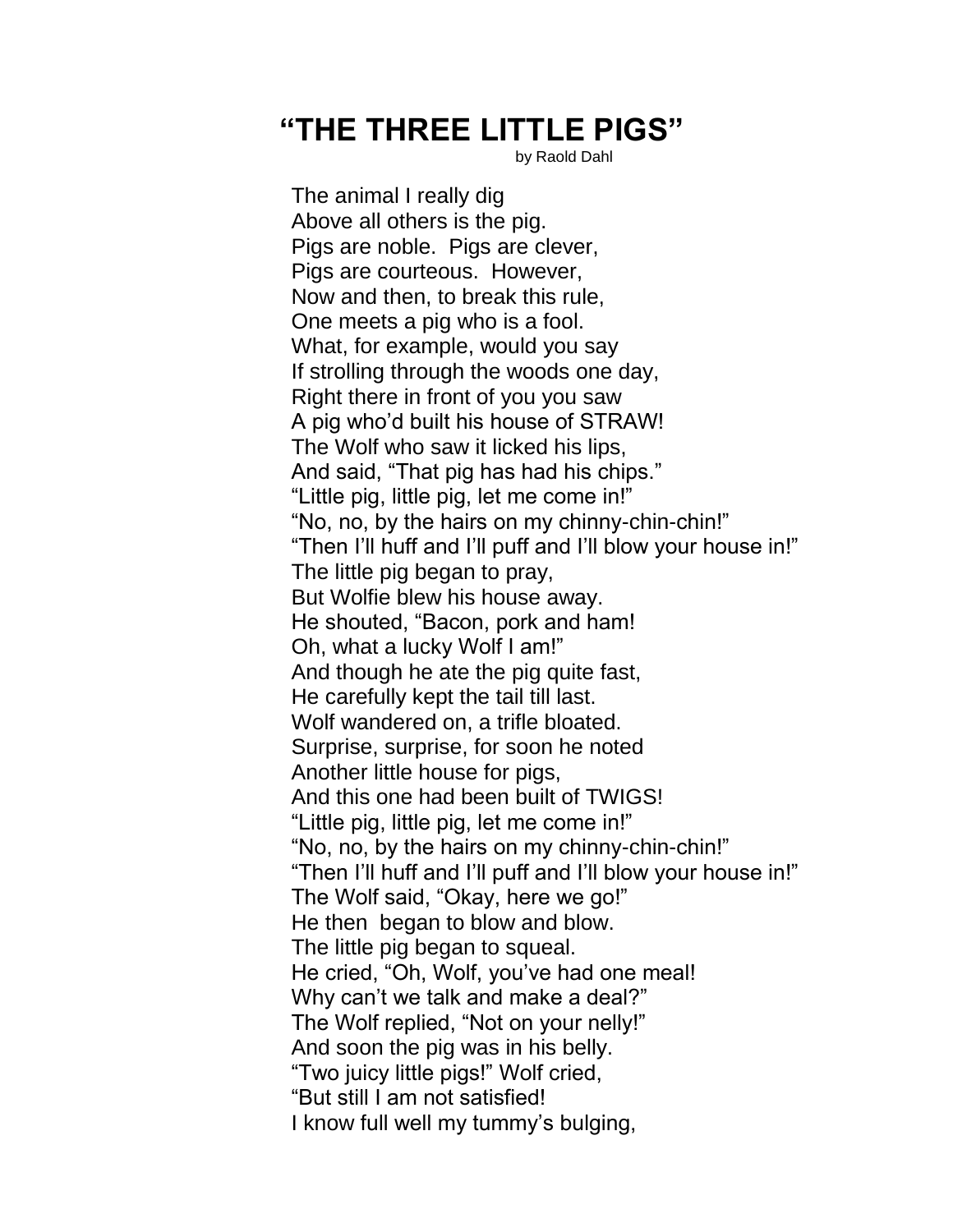## **"THE THREE LITTLE PIGS"**

by Raold Dahl

The animal I really dig Above all others is the pig. Pigs are noble. Pigs are clever, Pigs are courteous. However, Now and then, to break this rule, One meets a pig who is a fool. What, for example, would you say If strolling through the woods one day, Right there in front of you you saw A pig who'd built his house of STRAW! The Wolf who saw it licked his lips, And said, "That pig has had his chips." "Little pig, little pig, let me come in!" "No, no, by the hairs on my chinny-chin-chin!" "Then I'll huff and I'll puff and I'll blow your house in!" The little pig began to pray, But Wolfie blew his house away. He shouted, "Bacon, pork and ham! Oh, what a lucky Wolf I am!" And though he ate the pig quite fast, He carefully kept the tail till last. Wolf wandered on, a trifle bloated. Surprise, surprise, for soon he noted Another little house for pigs, And this one had been built of TWIGS! "Little pig, little pig, let me come in!" "No, no, by the hairs on my chinny-chin-chin!" "Then I'll huff and I'll puff and I'll blow your house in!" The Wolf said, "Okay, here we go!" He then began to blow and blow. The little pig began to squeal. He cried, "Oh, Wolf, you've had one meal! Why can't we talk and make a deal?" The Wolf replied, "Not on your nelly!" And soon the pig was in his belly. "Two juicy little pigs!" Wolf cried, "But still I am not satisfied! I know full well my tummy's bulging,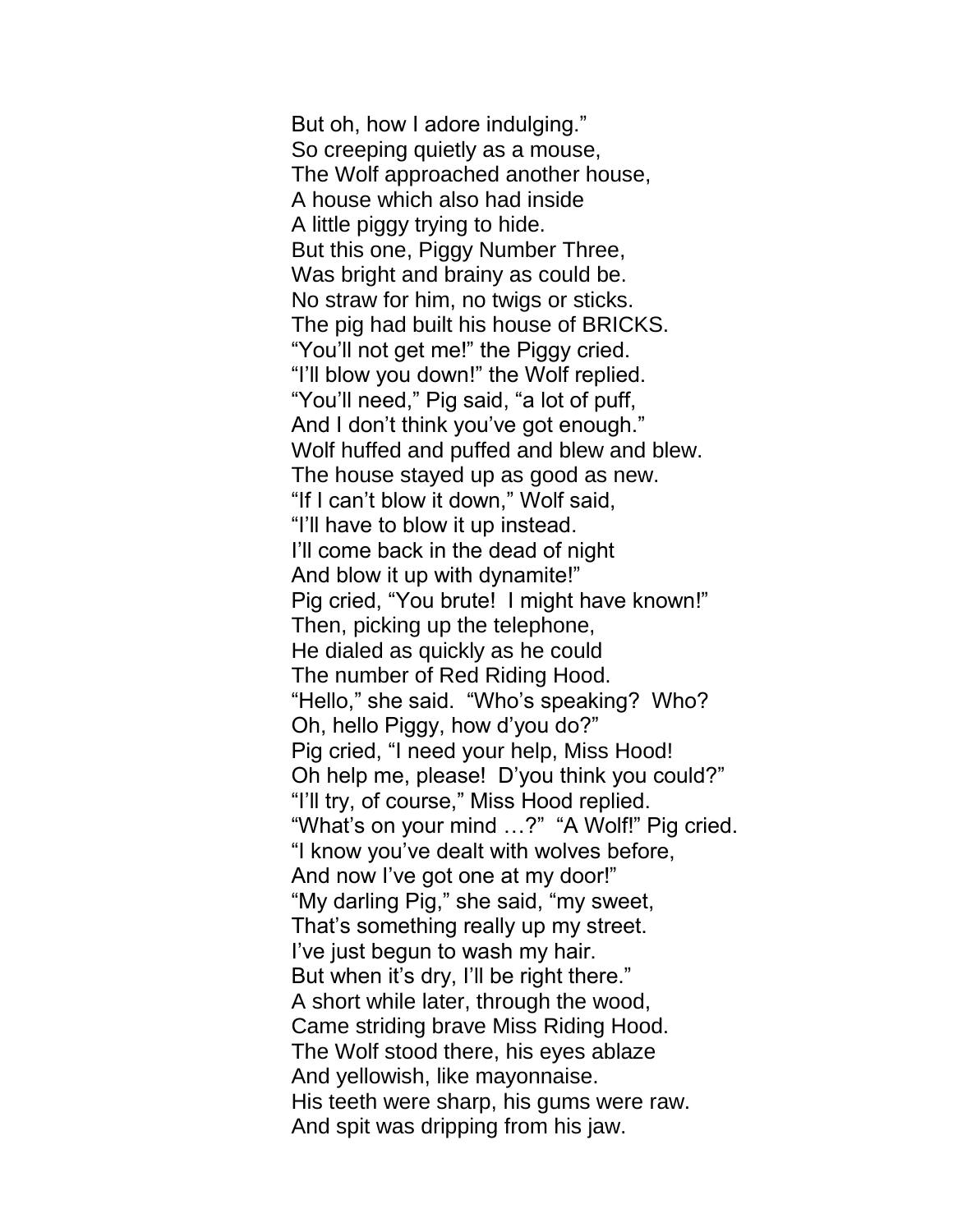But oh, how I adore indulging." So creeping quietly as a mouse, The Wolf approached another house, A house which also had inside A little piggy trying to hide. But this one, Piggy Number Three, Was bright and brainy as could be. No straw for him, no twigs or sticks. The pig had built his house of BRICKS. "You'll not get me!" the Piggy cried. "I'll blow you down!" the Wolf replied. "You'll need," Pig said, "a lot of puff, And I don't think you've got enough." Wolf huffed and puffed and blew and blew. The house stayed up as good as new. "If I can't blow it down," Wolf said, "I'll have to blow it up instead. I'll come back in the dead of night And blow it up with dynamite!" Pig cried, "You brute! I might have known!" Then, picking up the telephone, He dialed as quickly as he could The number of Red Riding Hood. "Hello," she said. "Who's speaking? Who? Oh, hello Piggy, how d'you do?" Pig cried, "I need your help, Miss Hood! Oh help me, please! D'you think you could?" "I'll try, of course," Miss Hood replied. "What's on your mind …?" "A Wolf!" Pig cried. "I know you've dealt with wolves before, And now I've got one at my door!" "My darling Pig," she said, "my sweet, That's something really up my street. I've just begun to wash my hair. But when it's dry, I'll be right there." A short while later, through the wood, Came striding brave Miss Riding Hood. The Wolf stood there, his eyes ablaze And yellowish, like mayonnaise. His teeth were sharp, his gums were raw. And spit was dripping from his jaw.